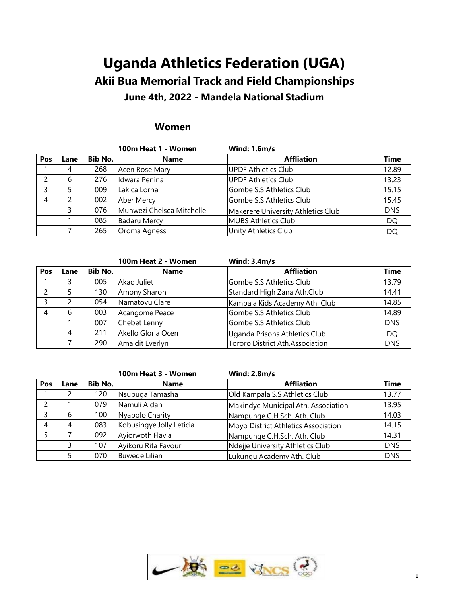# **Uganda Athletics Federation (UGA) Akii Bua Memorial Track and Field Championships**

# **June 4th, 2022 - Mandela National Stadium**

# **Women**

|     |      |         | 100m Heat 1 - Women       | <b>Wind: 1.6m/s</b>                |             |
|-----|------|---------|---------------------------|------------------------------------|-------------|
| Pos | Lane | Bib No. | <b>Name</b>               | <b>Affliation</b>                  | <b>Time</b> |
|     |      | 268     | Acen Rose Mary            | UPDF Athletics Club                | 12.89       |
|     |      | 276     | Idwara Penina             | <b>UPDF Athletics Club</b>         | 13.23       |
|     |      | 009     | Lakica Lorna              | Gombe S.S Athletics Club           | 15.15       |
|     |      | 002     | Aber Mercy                | Gombe S.S Athletics Club           | 15.45       |
|     |      | 076     | Muhwezi Chelsea Mitchelle | Makerere University Athletics Club | <b>DNS</b>  |
|     |      | 085     | <b>Badaru Mercy</b>       | MUBS Athletics Club                | DQ          |
|     |      | 265     | Oroma Agness              | Unity Athletics Club               | <b>DQ</b>   |

|     |      |         | 100m Heat 2 - Women | Wind: $3.4m/s$                         |             |
|-----|------|---------|---------------------|----------------------------------------|-------------|
| Pos | Lane | Bib No. | <b>Name</b>         | <b>Affliation</b>                      | <b>Time</b> |
|     |      | 005     | Akao Juliet         | Gombe S.S Athletics Club               | 13.79       |
|     |      | 130     | Amony Sharon        | Standard High Zana Ath.Club            | 14.41       |
|     |      | 054     | Namatovu Clare      | Kampala Kids Academy Ath. Club         | 14.85       |
|     |      | 003     | Acangome Peace      | Gombe S.S Athletics Club               | 14.89       |
|     |      | 007     | Chebet Lenny        | Gombe S.S Athletics Club               | <b>DNS</b>  |
|     |      | 211     | Akello Gloria Ocen  | Uganda Prisons Athletics Club          | <b>DQ</b>   |
|     |      | 290     | Amaidit Everlyn     | <b>Tororo District Ath.Association</b> | <b>DNS</b>  |

|     |      |         | 100m Heat 3 - Women      | <b>Wind: 2.8m/s</b>                 |             |
|-----|------|---------|--------------------------|-------------------------------------|-------------|
| Pos | Lane | Bib No. | <b>Name</b>              | <b>Affliation</b>                   | <b>Time</b> |
|     |      | 120     | Nsubuga Tamasha          | Old Kampala S.S Athletics Club      | 13.77       |
|     |      | 079     | Namuli Aidah             | Makindye Municipal Ath. Association | 13.95       |
|     | b    | 100     | Nyapolo Charity          | Nampunge C.H.Sch. Ath. Club         | 14.03       |
| 4   |      | 083     | Kobusingye Jolly Leticia | Moyo District Athletics Association | 14.15       |
|     |      | 092     | Ayiorwoth Flavia         | Nampunge C.H.Sch. Ath. Club         | 14.31       |
|     |      | 107     | Ayikoru Rita Favour      | Ndejje University Athletics Club    | <b>DNS</b>  |
|     |      | 070     | <b>Buwede Lilian</b>     | Lukungu Academy Ath. Club           | <b>DNS</b>  |

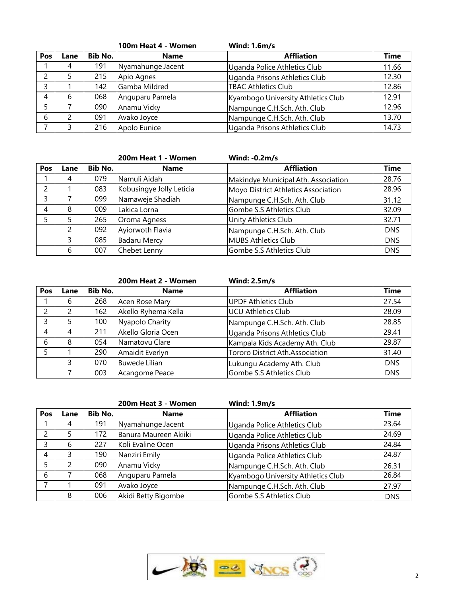|     |      |         | 100m Heat 4 - Women | <b>Wind: 1.6m/s</b>                |             |
|-----|------|---------|---------------------|------------------------------------|-------------|
| Pos | Lane | Bib No. | <b>Name</b>         | <b>Affliation</b>                  | <b>Time</b> |
|     |      | 191     | Nyamahunge Jacent   | Uganda Police Athletics Club       | 11.66       |
|     |      | 215     | Apio Agnes          | Uganda Prisons Athletics Club      | 12.30       |
|     |      | 142     | Gamba Mildred       | <b>TBAC Athletics Club</b>         | 12.86       |
| 4   | 6    | 068     | Anguparu Pamela     | Kyambogo University Athletics Club | 12.91       |
|     |      | 090     | Anamu Vicky         | Nampunge C.H.Sch. Ath. Club        | 12.96       |
| 6   |      | 091     | Avako Joyce         | Nampunge C.H.Sch. Ath. Club        | 13.70       |
|     |      | 216     | Apolo Eunice        | Uganda Prisons Athletics Club      | 14.73       |

|     |      |         | 200m Heat 1 - Women      | <b>Wind: -0.2m/s</b>                |             |
|-----|------|---------|--------------------------|-------------------------------------|-------------|
| Pos | Lane | Bib No. | <b>Name</b>              | <b>Affliation</b>                   | <b>Time</b> |
|     | 4    | 079     | Namuli Aidah             | Makindye Municipal Ath. Association | 28.76       |
|     |      | 083     | Kobusingye Jolly Leticia | Moyo District Athletics Association | 28.96       |
|     |      | 099     | Namaweje Shadiah         | Nampunge C.H.Sch. Ath. Club         | 31.12       |
| 4   | 8    | 009     | Lakica Lorna             | Gombe S.S Athletics Club            | 32.09       |
|     |      | 265     | Oroma Agness             | Unity Athletics Club                | 32.71       |
|     |      | 092     | Ayiorwoth Flavia         | Nampunge C.H.Sch. Ath. Club         | <b>DNS</b>  |
|     | 3    | 085     | <b>Badaru Mercy</b>      | MUBS Athletics Club                 | <b>DNS</b>  |
|     | 6    | 007     | Chebet Lenny             | Gombe S.S Athletics Club            | <b>DNS</b>  |

|     |      |         | 200m Heat 2 - Women | <b>Wind: 2.5m/s</b>             |             |
|-----|------|---------|---------------------|---------------------------------|-------------|
| Pos | Lane | Bib No. | <b>Name</b>         | <b>Affliation</b>               | <b>Time</b> |
|     | 6    | 268     | Acen Rose Mary      | <b>UPDF Athletics Club</b>      | 27.54       |
|     |      | 162     | Akello Ryhema Kella | UCU Athletics Club              | 28.09       |
|     |      | 100     | Nyapolo Charity     | Nampunge C.H.Sch. Ath. Club     | 28.85       |
| 4   | 4    | 211     | Akello Gloria Ocen  | Uganda Prisons Athletics Club   | 29.41       |
| h   | 8    | 054     | Namatovu Clare      | Kampala Kids Academy Ath. Club  | 29.87       |
|     |      | 290     | Amaidit Everlyn     | Tororo District Ath.Association | 31.40       |
|     | 3    | 070     | Buwede Lilian       | Lukungu Academy Ath. Club       | <b>DNS</b>  |
|     |      | 003     | Acangome Peace      | Gombe S.S Athletics Club        | <b>DNS</b>  |

|     |      |                | 200m Heat 3 - Women   | <b>Wind: 1.9m/s</b>                |             |
|-----|------|----------------|-----------------------|------------------------------------|-------------|
| Pos | Lane | <b>Bib No.</b> | <b>Name</b>           | <b>Affliation</b>                  | <b>Time</b> |
|     | 4    | 191            | Nyamahunge Jacent     | Uganda Police Athletics Club       | 23.64       |
|     |      | 172            | Banura Maureen Akiiki | Uganda Police Athletics Club       | 24.69       |
|     | 6    | 227            | Koli Evaline Ocen     | Uganda Prisons Athletics Club      | 24.84       |
| 4   |      | 190            | Nanziri Emily         | Uganda Police Athletics Club       | 24.87       |
|     |      | 090            | Anamu Vicky           | Nampunge C.H.Sch. Ath. Club        | 26.31       |
| 6   |      | 068            | Anguparu Pamela       | Kyambogo University Athletics Club | 26.84       |
|     |      | 091            | Avako Joyce           | Nampunge C.H.Sch. Ath. Club        | 27.97       |
|     | 8    | 006            | Akidi Betty Bigombe   | Gombe S.S Athletics Club           | <b>DNS</b>  |

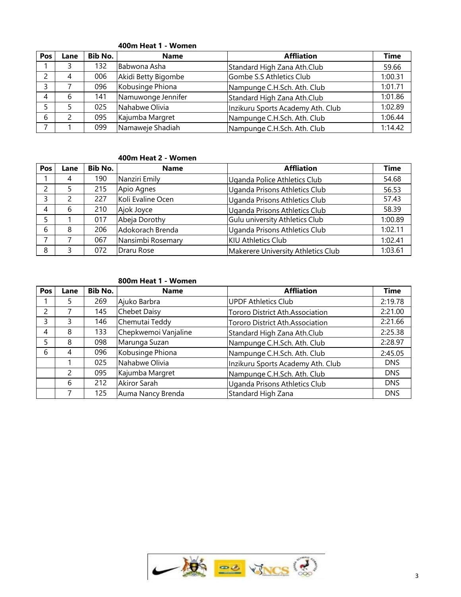| <b>Pos</b> | Lane | Bib No. | <b>Name</b>         | <b>Affliation</b>                 | Time    |
|------------|------|---------|---------------------|-----------------------------------|---------|
|            |      | 132     | Babwona Asha        | Standard High Zana Ath.Club       | 59.66   |
|            | 4    | 006     | Akidi Betty Bigombe | Gombe S.S Athletics Club          | :00.31  |
|            |      | 096     | Kobusinge Phiona    | Nampunge C.H.Sch. Ath. Club       | 1:01.71 |
|            | h    | 141     | Namuwonge Jennifer  | Standard High Zana Ath.Club       | 1:01.86 |
|            |      | 025     | Nahabwe Olivia      | Inzikuru Sports Academy Ath. Club | 1:02.89 |
| 6          |      | 095     | Kajumba Margret     | Nampunge C.H.Sch. Ath. Club       | 1:06.44 |
|            |      | 099     | Namaweje Shadiah    | Nampunge C.H.Sch. Ath. Club       | 1:14.42 |

#### **400m Heat 1 - Women**

#### **400m Heat 2 - Women**

| Pos | Lane | <b>Bib No.</b> | <b>Name</b>       | <b>Affliation</b>                  | <b>Time</b> |
|-----|------|----------------|-------------------|------------------------------------|-------------|
|     | 4    | 190            | Nanziri Emily     | Uganda Police Athletics Club       | 54.68       |
|     |      | 215            | Apio Agnes        | Uganda Prisons Athletics Club      | 56.53       |
|     |      | 227            | Koli Evaline Ocen | Uganda Prisons Athletics Club      | 57.43       |
|     | b    | 210            | Ajok Joyce        | Uganda Prisons Athletics Club      | 58.39       |
|     |      | 017            | Abeja Dorothy     | Gulu university Athletics Club     | l:00.89     |
|     | 8    | 206            | Adokorach Brenda  | Uganda Prisons Athletics Club      | 1:02.11     |
|     |      | 067            | Nansimbi Rosemary | <b>KIU Athletics Club</b>          | 1:02.41     |
| 8   |      | 072            | Draru Rose        | Makerere University Athletics Club | 1:03.61     |

#### **800m Heat 1 - Women**

| Pos | Lane          | <b>Bib No.</b> | <b>Name</b>          | <b>Affliation</b>                 | <b>Time</b> |
|-----|---------------|----------------|----------------------|-----------------------------------|-------------|
|     | 5             | 269            | Ajuko Barbra         | <b>UPDF Athletics Club</b>        | 2:19.78     |
|     |               | 145            | <b>Chebet Daisy</b>  | Tororo District Ath.Association   | 2:21.00     |
|     | 3             | 146            | Chemutai Teddy       | Tororo District Ath.Association   | 2:21.66     |
| 4   | 8             | 133            | Chepkwemoi Vanjaline | Standard High Zana Ath.Club       | 2:25.38     |
|     | 8             | 098            | Marunga Suzan        | Nampunge C.H.Sch. Ath. Club       | 2:28.97     |
| 6   | 4             | 096            | Kobusinge Phiona     | Nampunge C.H.Sch. Ath. Club       | 2:45.05     |
|     |               | 025            | Nahabwe Olivia       | Inzikuru Sports Academy Ath. Club | DNS.        |
|     | $\mathcal{P}$ | 095            | Kajumba Margret      | Nampunge C.H.Sch. Ath. Club       | <b>DNS</b>  |
|     | 6             | 212            | Akiror Sarah         | Uganda Prisons Athletics Club     | <b>DNS</b>  |
|     |               | 125            | Auma Nancy Brenda    | Standard High Zana                | <b>DNS</b>  |

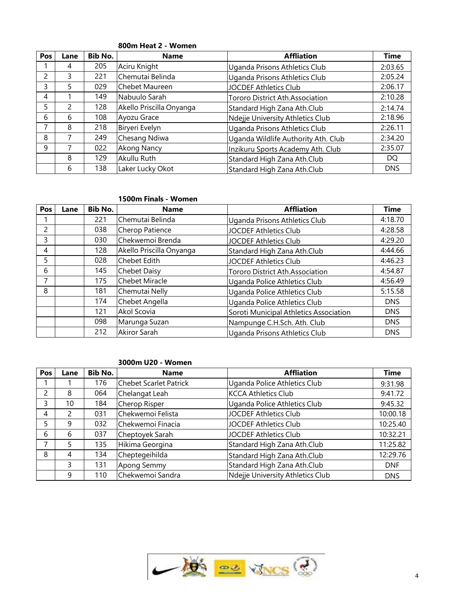| Pos          | Lane | <b>Bib No.</b> | <b>Name</b>              | <b>Affliation</b>                   | <b>Time</b> |
|--------------|------|----------------|--------------------------|-------------------------------------|-------------|
|              | 4    | 205            | Aciru Knight             | Uganda Prisons Athletics Club       | 2:03.65     |
|              |      | 221            | Chemutai Belinda         | Uganda Prisons Athletics Club       | 2:05.24     |
|              |      | 029            | Chebet Maureen           | <b>JOCDEF Athletics Club</b>        | 2:06.17     |
| 4            |      | 149            | Nabuulo Sarah            | Tororo District Ath.Association     | 2:10.28     |
|              |      | 128            | Akello Priscilla Onyanga | Standard High Zana Ath.Club         | 2:14.74     |
| <sub>6</sub> |      | 108            | Ayozu Grace              | Ndejje University Athletics Club    | 2:18.96     |
|              | 8    | 218            | Biryeri Evelyn           | Uganda Prisons Athletics Club       | 2:26.11     |
| 8            |      | 249            | Chesang Ndiwa            | Uganda Wildlife Authority Ath. Club | 2:34.20     |
| 9            |      | 022            | Akong Nancy              | Inzikuru Sports Academy Ath. Club   | 2:35.07     |
|              | 8    | 129            | Akullu Ruth              | Standard High Zana Ath.Club         | DO.         |
|              | 6    | 138            | Laker Lucky Okot         | Standard High Zana Ath.Club         | <b>DNS</b>  |

### **800m Heat 2 - Women**

#### **1500m Finals - Women**

| Pos | Lane | <b>Bib No.</b> | <b>Name</b>              | <b>Affliation</b>                      | Time       |
|-----|------|----------------|--------------------------|----------------------------------------|------------|
|     |      | 221            | Chemutai Belinda         | Uganda Prisons Athletics Club          | 4:18.70    |
|     |      | 038            | Cherop Patience          | <b>JOCDEF Athletics Club</b>           | 4:28.58    |
| 3   |      | 030            | Chekwemoi Brenda         | <b>JOCDEF Athletics Club</b>           | 4:29.20    |
| 4   |      | 128            | Akello Priscilla Onyanga | Standard High Zana Ath.Club            | 4:44.66    |
| 5   |      | 028            | <b>Chebet Edith</b>      | <b>JOCDEF Athletics Club</b>           | 4:46.23    |
| 6   |      | 145            | <b>Chebet Daisy</b>      | Tororo District Ath.Association        | 4:54.87    |
|     |      | 175            | <b>Chebet Miracle</b>    | Uganda Police Athletics Club           | 4:56.49    |
| 8   |      | 181            | Chemutai Nelly           | Uganda Police Athletics Club           | 5:15.58    |
|     |      | 174            | Chebet Angella           | Uganda Police Athletics Club           | <b>DNS</b> |
|     |      | 121            | Akol Scovia              | Soroti Municipal Athletics Association | DNS        |
|     |      | 098            | Marunga Suzan            | Nampunge C.H.Sch. Ath. Club            | <b>DNS</b> |
|     |      | 212            | Akiror Sarah             | Uganda Prisons Athletics Club          | <b>DNS</b> |

#### **3000m U20 - Women**

| Pos | Lane | Bib No. | <b>Name</b>                   | <b>Affliation</b>                | Time       |
|-----|------|---------|-------------------------------|----------------------------------|------------|
|     |      | 176     | <b>Chebet Scarlet Patrick</b> | Uganda Police Athletics Club     | 9:31.98    |
|     | 8    | 064     | Chelangat Leah                | <b>KCCA Athletics Club</b>       | 9:41.72    |
|     | 10   | 184     | Cherop Risper                 | Uganda Police Athletics Club     | 9:45.32    |
|     |      | 031     | Chekwemoi Felista             | JOCDEF Athletics Club            | 10:00.18   |
|     | 9    | 032     | Chekwemoi Finacia             | JOCDEF Athletics Club            | 10:25.40   |
| 6   | 6    | 037     | Cheptoyek Sarah               | JOCDEF Athletics Club            | 10:32.21   |
|     |      | 135     | Hikima Georgina               | Standard High Zana Ath.Club      | 11:25.82   |
| 8   | 4    | 134     | Cheptegeihilda                | Standard High Zana Ath.Club      | 12:29.76   |
|     | 3    | 131     | Apong Semmy                   | Standard High Zana Ath.Club      | <b>DNF</b> |
|     | 9    | 110     | Chekwemoi Sandra              | Ndejje University Athletics Club | <b>DNS</b> |

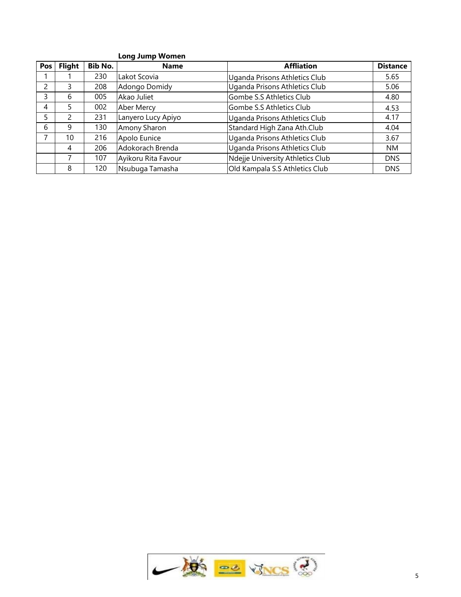## **Long Jump Women**

| <b>Pos</b> | <b>Flight</b> | <b>Bib No.</b> | <b>Name</b>         | <b>Affliation</b>                | <b>Distance</b> |
|------------|---------------|----------------|---------------------|----------------------------------|-----------------|
|            |               | 230            | Lakot Scovia        | Uganda Prisons Athletics Club    | 5.65            |
|            |               | 208            | Adongo Domidy       | Uganda Prisons Athletics Club    | 5.06            |
|            |               | 005            | Akao Juliet         | Gombe S.S Athletics Club         | 4.80            |
|            |               | 002            | Aber Mercy          | Gombe S.S Athletics Club         | 4.53            |
|            |               | 231            | Lanyero Lucy Apiyo  | Uganda Prisons Athletics Club    | 4.17            |
| b          |               | 130            | Amony Sharon        | Standard High Zana Ath.Club      | 4.04            |
|            | 10            | 216            | Apolo Eunice        | Uganda Prisons Athletics Club    | 3.67            |
|            | 4             | 206            | Adokorach Brenda    | Uganda Prisons Athletics Club    | <b>NM</b>       |
|            |               | 107            | Ayikoru Rita Favour | Ndejje University Athletics Club | <b>DNS</b>      |
|            | 8             | 120            | Nsubuga Tamasha     | Old Kampala S.S Athletics Club   | DNS.            |

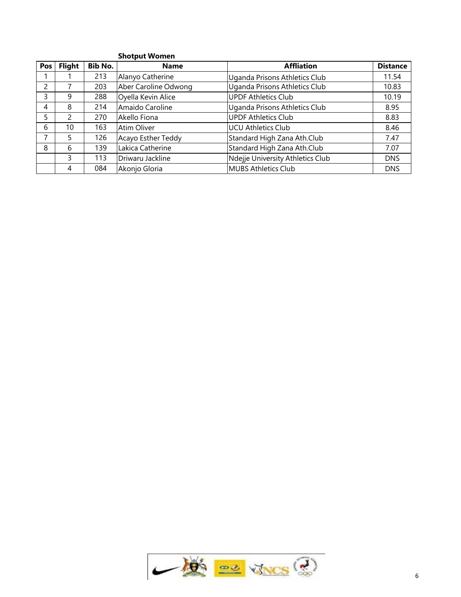| <b>Shotput Women</b>                                  |                                  |                 |
|-------------------------------------------------------|----------------------------------|-----------------|
| Pos<br><b>Flight</b><br><b>Bib No.</b><br><b>Name</b> | <b>Affliation</b>                | <b>Distance</b> |
| Alanyo Catherine<br>213                               | Uganda Prisons Athletics Club    | 11.54           |
| Aber Caroline Odwong<br>203                           | Uganda Prisons Athletics Club    | 10.83           |
| 288<br>Oyella Kevin Alice<br>q                        | <b>UPDF Athletics Club</b>       | 10.19           |
| 214<br>Amaido Caroline<br>8<br>4                      | Uganda Prisons Athletics Club    | 8.95            |
| 270<br>5<br>Akello Fiona                              | <b>UPDF Athletics Club</b>       | 8.83            |
| 6<br>10<br>163<br>Atim Oliver                         | <b>UCU Athletics Club</b>        | 8.46            |
| Acayo Esther Teddy<br>126<br>5                        | Standard High Zana Ath.Club      | 7.47            |
| 139<br>Lakica Catherine<br>8<br>6                     | Standard High Zana Ath.Club      | 7.07            |
| 3<br>113<br>Driwaru Jackline                          | Ndejje University Athletics Club | <b>DNS</b>      |
| 084<br>Akonjo Gloria<br>4                             | <b>MUBS Athletics Club</b>       | <b>DNS</b>      |

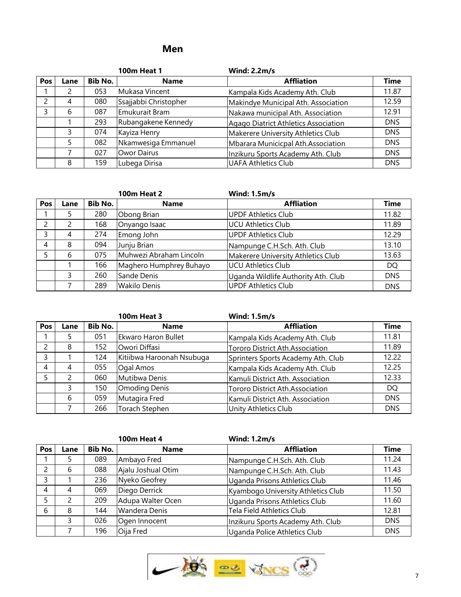# **Men**

|     |      |         | <b>100m Heat 1</b>    | <b>Wind: 2.2m/s</b>                  |             |
|-----|------|---------|-----------------------|--------------------------------------|-------------|
| Pos | Lane | Bib No. | <b>Name</b>           | <b>Affliation</b>                    | <b>Time</b> |
|     |      | 053     | Mukasa Vincent        | Kampala Kids Academy Ath. Club       | 11.87       |
|     | 4    | 080     | Ssajjabbi Christopher | Makindye Municipal Ath. Association  | 12.59       |
|     | b    | 087     | Emukurait Bram        | Nakawa municipal Ath. Association    | 12.91       |
|     |      | 293     | Rubangakene Kennedy   | Agago Diatrict Athletics Association | <b>DNS</b>  |
|     |      | 074     | Kayiza Henry          | Makerere University Athletics Club   | <b>DNS</b>  |
|     |      | 082     | Nkamwesiga Emmanuel   | Mbarara Municicpal Ath.Association   | <b>DNS</b>  |
|     |      | 027     | Owor Dairus           | Inzikuru Sports Academy Ath. Club    | <b>DNS</b>  |
|     | 8    | 159     | Lubega Dirisa         | <b>UAFA Athletics Club</b>           | <b>DNS</b>  |

|     |      |         | <b>100m Heat 2</b>      | <b>Wind: 1.5m/s</b>                 |             |
|-----|------|---------|-------------------------|-------------------------------------|-------------|
| Pos | Lane | Bib No. | <b>Name</b>             | <b>Affliation</b>                   | <b>Time</b> |
|     |      | 280     | Obong Brian             | <b>UPDF Athletics Club</b>          | 11.82       |
|     |      | 168     | Onyango Isaac           | <b>UCU Athletics Club</b>           | 11.89       |
|     |      | 274     | Emong John              | <b>UPDF Athletics Club</b>          | 12.29       |
|     |      | 094     | Junju Brian             | Nampunge C.H.Sch. Ath. Club         | 13.10       |
|     |      | 075     | Muhwezi Abraham Lincoln | Makerere University Athletics Club  | 13.63       |
|     |      | 166     | Maghero Humphrey Buhayo | <b>UCU Athletics Club</b>           | DQ.         |
|     |      | 260     | Sande Denis             | Uganda Wildlife Authority Ath. Club | <b>DNS</b>  |
|     |      | 289     | <b>Wakilo Denis</b>     | <b>UPDF Athletics Club</b>          | <b>DNS</b>  |

|     |      |         | <b>100m Heat 3</b>        | <b>Wind: 1.5m/s</b>                |             |
|-----|------|---------|---------------------------|------------------------------------|-------------|
| Pos | Lane | Bib No. | <b>Name</b>               | <b>Affliation</b>                  | <b>Time</b> |
|     |      | 051     | Ekwaro Haron Bullet       | Kampala Kids Academy Ath. Club     | 11.81       |
|     |      | 152     | Owori Diffasi             | Tororo District Ath.Association    | 11.89       |
|     |      | 124     | Kitiibwa Haroonah Nsubuga | Sprinters Sports Academy Ath. Club | 12.22       |
|     |      | 055     | Ogal Amos                 | Kampala Kids Academy Ath. Club     | 12.25       |
|     |      | 060     | Mutibwa Denis             | Kamuli District Ath. Association   | 12.33       |
|     |      | 150     | <b>Omoding Denis</b>      | Tororo District Ath.Association    | <b>DQ</b>   |
|     | 6    | 059     | Mutagira Fred             | Kamuli District Ath. Association   | <b>DNS</b>  |
|     |      | 266     | Torach Stephen            | Unity Athletics Club               | <b>DNS</b>  |

|     |      |         | <b>100m Heat 4</b> | <b>Wind: 1.2m/s</b>                |             |
|-----|------|---------|--------------------|------------------------------------|-------------|
| Pos | Lane | Bib No. | <b>Name</b>        | <b>Affliation</b>                  | <b>Time</b> |
|     |      | 089     | Ambayo Fred        | Nampunge C.H.Sch. Ath. Club        | 11.24       |
|     | b    | 088     | Ajalu Joshual Otim | Nampunge C.H.Sch. Ath. Club        | 11.43       |
|     |      | 236     | Nyeko Geofrey      | Uganda Prisons Athletics Club      | 11.46       |
| 4   | 4    | 069     | Diego Derrick      | Kyambogo University Athletics Club | 11.50       |
|     |      | 209     | Adupa Walter Ocen  | Uganda Prisons Athletics Club      | 11.60       |
| -6  | 8    | 144     | Wandera Denis      | Tela Field Athletics Club          | 12.81       |
|     |      | 026     | Ogen Innocent      | Inzikuru Sports Academy Ath. Club  | <b>DNS</b>  |
|     |      | 196     | Oija Fred          | Uganda Police Athletics Club       | <b>DNS</b>  |

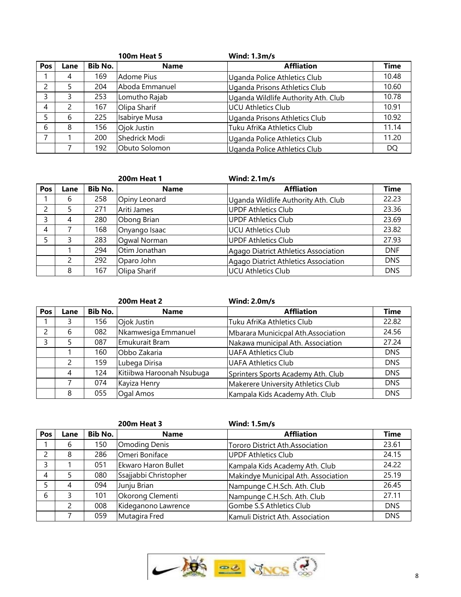|     |      |         | <b>100m Heat 5</b> | <b>Wind: 1.3m/s</b>                 |             |
|-----|------|---------|--------------------|-------------------------------------|-------------|
| Pos | Lane | Bib No. | <b>Name</b>        | <b>Affliation</b>                   | <b>Time</b> |
|     |      | 169     | Adome Pius         | Uganda Police Athletics Club        | 10.48       |
|     |      | 204     | Aboda Emmanuel     | Uganda Prisons Athletics Club       | 10.60       |
|     |      | 253     | Lomutho Rajab      | Uganda Wildlife Authority Ath. Club | 10.78       |
|     |      | 167     | Olipa Sharif       | UCU Athletics Club                  | 10.91       |
|     |      | 225     | Isabirye Musa      | Uganda Prisons Athletics Club       | 10.92       |
| h   |      | 156     | Ojok Justin        | Tuku AfriKa Athletics Club          | 11.14       |
|     |      | 200     | Shedrick Modi      | Uganda Police Athletics Club        | 11.20       |
|     |      | 192     | Obuto Solomon      | Uganda Police Athletics Club        | <b>DQ</b>   |

|     |      |                | <b>200m Heat 1</b> | Wind: $2.1m/s$                       |             |
|-----|------|----------------|--------------------|--------------------------------------|-------------|
| Pos | Lane | <b>Bib No.</b> | <b>Name</b>        | <b>Affliation</b>                    | <b>Time</b> |
|     | 6    | 258            | Opiny Leonard      | Uganda Wildlife Authority Ath. Club  | 22.23       |
|     |      | 271            | Ariti James        | UPDF Athletics Club                  | 23.36       |
|     | 4    | 280            | Obong Brian        | UPDF Athletics Club                  | 23.69       |
| 4   |      | 168            | Onyango Isaac      | UCU Athletics Club                   | 23.82       |
|     |      | 283            | Oqwal Norman       | UPDF Athletics Club                  | 27.93       |
|     |      | 294            | Otim Jonathan      | Agago Diatrict Athletics Association | <b>DNF</b>  |
|     | 2    | 292            | Oparo John         | Agago Diatrict Athletics Association | <b>DNS</b>  |
|     | 8    | 167            | Olipa Sharif       | UCU Athletics Club                   | <b>DNS</b>  |

|     |      |                | <b>200m Heat 2</b>        | <b>Wind: 2.0m/s</b>                |             |
|-----|------|----------------|---------------------------|------------------------------------|-------------|
| Pos | Lane | <b>Bib No.</b> | <b>Name</b>               | <b>Affliation</b>                  | <b>Time</b> |
|     |      | 156            | Ojok Justin               | Tuku AfriKa Athletics Club         | 22.82       |
|     | b    | 082            | Nkamwesiga Emmanuel       | Mbarara Municicpal Ath.Association | 24.56       |
|     |      | 087            | Emukurait Bram            | Nakawa municipal Ath. Association  | 27.24       |
|     |      | 160            | Obbo Zakaria              | <b>UAFA Athletics Club</b>         | <b>DNS</b>  |
|     |      | 159            | Lubega Dirisa             | UAFA Athletics Club                | <b>DNS</b>  |
|     | 4    | 124            | Kitiibwa Haroonah Nsubuga | Sprinters Sports Academy Ath. Club | <b>DNS</b>  |
|     |      | 074            | Kayiza Henry              | Makerere University Athletics Club | <b>DNS</b>  |
|     | 8    | 055            | Ogal Amos                 | Kampala Kids Academy Ath. Club     | <b>DNS</b>  |

|     |      |                | <b>200m Heat 3</b>    | <b>Wind: 1.5m/s</b>                 |             |
|-----|------|----------------|-----------------------|-------------------------------------|-------------|
| Pos | Lane | <b>Bib No.</b> | <b>Name</b>           | <b>Affliation</b>                   | <b>Time</b> |
|     | b    | 150            | <b>Omoding Denis</b>  | Tororo District Ath.Association     | 23.61       |
|     | 8    | 286            | Omeri Boniface        | <b>UPDF Athletics Club</b>          | 24.15       |
|     |      | 051            | Ekwaro Haron Bullet   | Kampala Kids Academy Ath. Club      | 24.22       |
| 4   |      | 080            | Ssajjabbi Christopher | Makindye Municipal Ath. Association | 25.19       |
|     | 4    | 094            | Junju Brian           | Nampunge C.H.Sch. Ath. Club         | 26.45       |
| 6   |      | 101            | Okorong Clementi      | Nampunge C.H.Sch. Ath. Club         | 27.11       |
|     |      | 008            | Kideganono Lawrence   | Gombe S.S Athletics Club            | <b>DNS</b>  |
|     |      | 059            | Mutagira Fred         | Kamuli District Ath. Association    | <b>DNS</b>  |

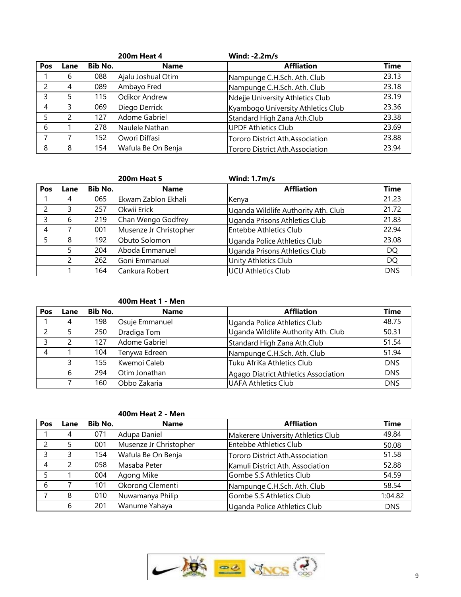|     |      |         | <b>200m Heat 4</b> | <b>Wind: -2.2m/s</b>                   |             |
|-----|------|---------|--------------------|----------------------------------------|-------------|
| Pos | Lane | Bib No. | <b>Name</b>        | <b>Affliation</b>                      | <b>Time</b> |
|     | b    | 088     | Ajalu Joshual Otim | Nampunge C.H.Sch. Ath. Club            | 23.13       |
|     | 4    | 089     | Ambayo Fred        | Nampunge C.H.Sch. Ath. Club            | 23.18       |
|     |      | 115     | Odikor Andrew      | Ndejje University Athletics Club       | 23.19       |
| 4   |      | 069     | Diego Derrick      | Kyambogo University Athletics Club     | 23.36       |
|     |      | 127     | Adome Gabriel      | Standard High Zana Ath.Club            | 23.38       |
| 6   |      | 278     | Naulele Nathan     | <b>IUPDF Athletics Club</b>            | 23.69       |
|     |      | 152     | Owori Diffasi      | Tororo District Ath.Association        | 23.88       |
| 8   | 8    | 154     | Wafula Be On Benja | <b>Tororo District Ath.Association</b> | 23.94       |

|            |      |         | <b>200m Heat 5</b>     | <b>Wind: 1.7m/s</b>                 |             |
|------------|------|---------|------------------------|-------------------------------------|-------------|
| <b>Pos</b> | Lane | Bib No. | <b>Name</b>            | <b>Affliation</b>                   | <b>Time</b> |
|            |      | 065     | Ekwam Zablon Ekhali    | Kenya                               | 21.23       |
|            |      | 257     | Okwii Erick            | Uganda Wildlife Authority Ath. Club | 21.72       |
|            | h    | 219     | Chan Wengo Godfrey     | Uganda Prisons Athletics Club       | 21.83       |
| 4          |      | 001     | Musenze Jr Christopher | Entebbe Athletics Club              | 22.94       |
|            |      | 192     | Obuto Solomon          | Uganda Police Athletics Club        | 23.08       |
|            |      | 204     | Aboda Emmanuel         | Uganda Prisons Athletics Club       | DQ.         |
|            |      | 262     | Goni Emmanuel          | Unity Athletics Club                | DQ          |
|            |      | 164     | Cankura Robert         | <b>UCU Athletics Club</b>           | <b>DNS</b>  |

#### **400m Heat 1 - Men**

| <b>Pos</b> | Lane | Bib No. | <b>Name</b>    | <b>Affliation</b>                    | <b>Time</b> |
|------------|------|---------|----------------|--------------------------------------|-------------|
|            | 4    | 198     | Osuje Emmanuel | Uganda Police Athletics Club         | 48.75       |
|            |      | 250     | Dradiga Tom    | Uganda Wildlife Authority Ath. Club  | 50.31       |
|            |      | 127     | Adome Gabriel  | Standard High Zana Ath.Club          | 51.54       |
|            |      | 104     | Tenywa Edreen  | Nampunge C.H.Sch. Ath. Club          | 51.94       |
|            |      | 155     | Kwemoi Caleb   | Tuku AfriKa Athletics Club           | <b>DNS</b>  |
|            | b    | 294     | Otim Jonathan  | Agago Diatrict Athletics Association | <b>DNS</b>  |
|            |      | 160     | Obbo Zakaria   | <b>UAFA Athletics Club</b>           | <b>DNS</b>  |

## **400m Heat 2 - Men**

| Pos            | Lane | Bib No. | <b>Name</b>            | <b>Affliation</b>                  | <b>Time</b> |
|----------------|------|---------|------------------------|------------------------------------|-------------|
|                | 4    | 071     | Adupa Daniel           | Makerere University Athletics Club | 49.84       |
| 2              |      | 001     | Musenze Jr Christopher | Entebbe Athletics Club             | 50.08       |
| 3              |      | 154     | Wafula Be On Benja     | Tororo District Ath.Association    | 51.58       |
| $\overline{4}$ |      | 058     | Masaba Peter           | Kamuli District Ath. Association   | 52.88       |
| 5              |      | 004     | Agong Mike             | Gombe S.S Athletics Club           | 54.59       |
| 6              |      | 101     | Okorong Clementi       | Nampunge C.H.Sch. Ath. Club        | 58.54       |
| ⇁              |      | 010     | Nuwamanya Philip       | Gombe S.S Athletics Club           | 1:04.82     |
|                |      | 201     | Wanume Yahaya          | Uganda Police Athletics Club       | <b>DNS</b>  |

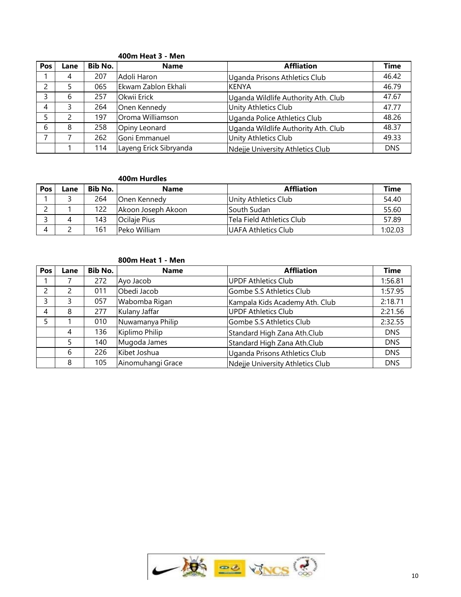| Pos | Lane | <b>Bib No.</b> | <b>Name</b>            | <b>Affliation</b>                   | <b>Time</b> |
|-----|------|----------------|------------------------|-------------------------------------|-------------|
|     | 4    | 207            | Adoli Haron            | Uganda Prisons Athletics Club       | 46.42       |
|     |      | 065            | Ekwam Zablon Ekhali    | IKENYA                              | 46.79       |
|     | b    | 257            | Okwii Erick            | Uganda Wildlife Authority Ath. Club | 47.67       |
|     |      | 264            | Onen Kennedy           | Unity Athletics Club                | 47.77       |
|     |      | 197            | Oroma Williamson       | Uganda Police Athletics Club        | 48.26       |
| b   | 8    | 258            | Opiny Leonard          | Uganda Wildlife Authority Ath. Club | 48.37       |
|     |      | 262            | Goni Emmanuel          | Unity Athletics Club                | 49.33       |
|     |      | 114            | Layeng Erick Sibryanda | Ndeije University Athletics Club    | <b>DNS</b>  |

#### **400m Heat 3 - Men**

### **400m Hurdles**

| Pos | Lane | Bib No. | <b>Name</b>        | <b>Affliation</b>         | <b>Time</b> |
|-----|------|---------|--------------------|---------------------------|-------------|
|     |      | 264     | Onen Kennedy       | lUnity Athletics Club     | 54.40       |
|     |      | 122     | Akoon Joseph Akoon | South Sudan               | 55.60       |
|     |      | 143     | lOcilaie Pius      | Tela Field Athletics Club | 57.89       |
| 4   |      | 161     | Peko William       | UAFA Athletics Club       | 1:02.03     |

#### **800m Heat 1 - Men**

| Pos | Lane | <b>Bib No.</b> | <b>Name</b>       | <b>Affliation</b>                | <b>Time</b> |
|-----|------|----------------|-------------------|----------------------------------|-------------|
|     |      | 272            | Ayo Jacob         | <b>UPDF Athletics Club</b>       | 1:56.81     |
|     |      | 011            | Obedi Jacob       | Gombe S.S Athletics Club         | 1:57.95     |
|     |      | 057            | Wabomba Rigan     | Kampala Kids Academy Ath. Club   | 2:18.71     |
|     | 8    | 277            | Kulany Jaffar     | <b>UPDF Athletics Club</b>       | 2:21.56     |
|     |      | 010            | Nuwamanya Philip  | Gombe S.S Athletics Club         | 2:32.55     |
|     | 4    | 136            | Kiplimo Philip    | Standard High Zana Ath.Club      | <b>DNS</b>  |
|     |      | 140            | Mugoda James      | Standard High Zana Ath.Club      | <b>DNS</b>  |
|     | 6    | 226            | Kibet Joshua      | Uganda Prisons Athletics Club    | <b>DNS</b>  |
|     | 8    | 105            | Ainomuhangi Grace | Ndejje University Athletics Club | <b>DNS</b>  |

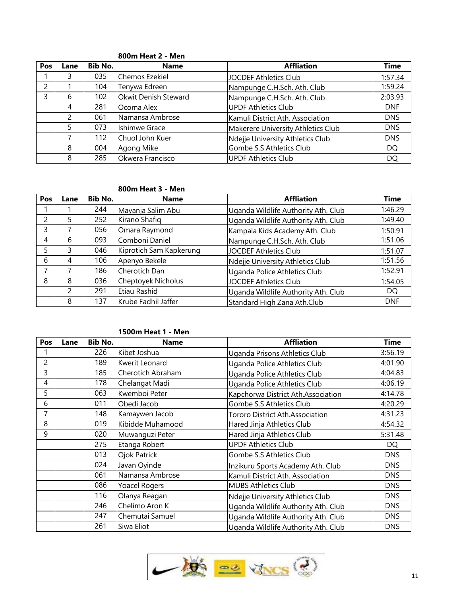| Pos | Lane | Bib No. | <b>Name</b>                 | <b>Affliation</b>                  | <b>Time</b> |
|-----|------|---------|-----------------------------|------------------------------------|-------------|
|     |      | 035     | <b>Chemos Ezekiel</b>       | JOCDEF Athletics Club              | 1:57.34     |
|     |      | 104     | Tenywa Edreen               | Nampunge C.H.Sch. Ath. Club        | 1:59.24     |
|     |      | 102     | <b>Okwit Denish Steward</b> | Nampunge C.H.Sch. Ath. Club        | 2:03.93     |
|     |      | 281     | Ocoma Alex                  | UPDF Athletics Club                | <b>DNF</b>  |
|     |      | 061     | Namansa Ambrose             | Kamuli District Ath. Association   | <b>DNS</b>  |
|     |      | 073     | Ishimwe Grace               | Makerere University Athletics Club | <b>DNS</b>  |
|     |      | 112     | Chuol John Kuer             | Ndejje University Athletics Club   | <b>DNS</b>  |
|     | 8    | 004     | Agong Mike                  | Gombe S.S Athletics Club           | DQ          |
|     | 8    | 285     | Okwera Francisco            | UPDF Athletics Club                | DQ          |

#### **800m Heat 2 - Men**

## **800m Heat 3 - Men**

| <b>Pos</b> | Lane | <b>Bib No.</b> | <b>Name</b>             | <b>Affliation</b>                   | <b>Time</b> |
|------------|------|----------------|-------------------------|-------------------------------------|-------------|
|            |      | 244            | Mayanja Salim Abu       | Uganda Wildlife Authority Ath. Club | 1:46.29     |
|            |      | 252            | Kirano Shafiq           | Uganda Wildlife Authority Ath. Club | 1:49.40     |
|            |      | 056            | Omara Raymond           | Kampala Kids Academy Ath. Club      | 1:50.91     |
| 4          | h    | 093            | Comboni Daniel          | Nampunge C.H.Sch. Ath. Club         | 1:51.06     |
|            |      | 046            | Kiprotich Sam Kapkerung | JOCDEF Athletics Club               | 1:51.07     |
| 6          |      | 106            | Apenyo Bekele           | Ndejje University Athletics Club    | 1:51.56     |
|            |      | 186            | Cherotich Dan           | Uganda Police Athletics Club        | 1:52.91     |
| 8          | 8    | 036            | Cheptoyek Nicholus      | JOCDEF Athletics Club               | 1:54.05     |
|            |      | 291            | Etiau Rashid            | Uganda Wildlife Authority Ath. Club | DQ          |
|            | 8    | 137            | Krube Fadhil Jaffer     | Standard High Zana Ath.Club         | <b>DNF</b>  |

#### **1500m Heat 1 - Men**

| Pos | Lane | <b>Bib No.</b> | <b>Name</b>          | <b>Affliation</b>                   | <b>Time</b> |
|-----|------|----------------|----------------------|-------------------------------------|-------------|
|     |      | 226            | Kibet Joshua         | Uganda Prisons Athletics Club       | 3:56.19     |
| 2   |      | 189            | Kwerit Leonard       | Uganda Police Athletics Club        | 4:01.90     |
| 3   |      | 185            | Cherotich Abraham    | Uganda Police Athletics Club        | 4:04.83     |
| 4   |      | 178            | Chelangat Madi       | Uganda Police Athletics Club        | 4:06.19     |
| 5   |      | 063            | Kwemboi Peter        | Kapchorwa District Ath.Association  | 4:14.78     |
| 6   |      | 011            | Obedi Jacob          | Gombe S.S Athletics Club            | 4:20.29     |
|     |      | 148            | Kamaywen Jacob       | Tororo District Ath.Association     | 4:31.23     |
| 8   |      | 019            | Kibidde Muhamood     | Hared Jinja Athletics Club          | 4:54.32     |
| 9   |      | 020            | Muwanguzi Peter      | Hared Jinja Athletics Club          | 5:31.48     |
|     |      | 275            | Etanga Robert        | <b>UPDF Athletics Club</b>          | <b>DQ</b>   |
|     |      | 013            | <b>Ojok Patrick</b>  | Gombe S.S Athletics Club            | <b>DNS</b>  |
|     |      | 024            | Javan Oyinde         | Inzikuru Sports Academy Ath. Club   | <b>DNS</b>  |
|     |      | 061            | Namansa Ambrose      | Kamuli District Ath. Association    | <b>DNS</b>  |
|     |      | 086            | <b>Yoacel Rogers</b> | <b>MUBS Athletics Club</b>          | <b>DNS</b>  |
|     |      | 116            | Olanya Reagan        | Ndejje University Athletics Club    | <b>DNS</b>  |
|     |      | 246            | Chelimo Aron K       | Uganda Wildlife Authority Ath. Club | DNS.        |
|     |      | 247            | Chemutai Samuel      | Uganda Wildlife Authority Ath. Club | <b>DNS</b>  |
|     |      | 261            | Siwa Eliot           | Uganda Wildlife Authority Ath. Club | <b>DNS</b>  |

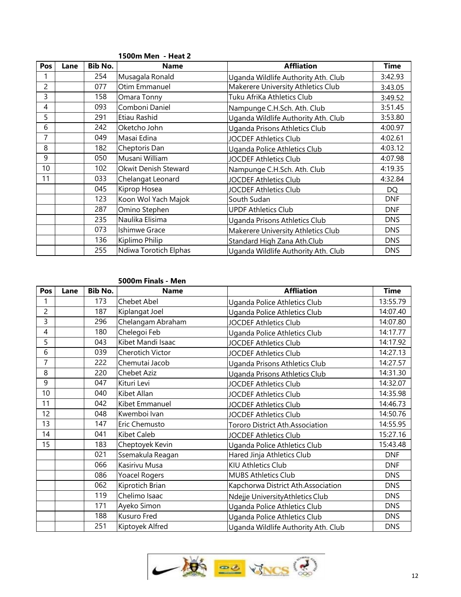|     |      |                | IJVVIII IVIEII - IIEAL 4 |                                      |            |
|-----|------|----------------|--------------------------|--------------------------------------|------------|
| Pos | Lane | <b>Bib No.</b> | Name                     | <b>Affliation</b>                    | Time       |
|     |      | 254            | Musagala Ronald          | Uganda Wildlife Authority Ath. Club  | 3:42.93    |
|     |      | 077            | Otim Emmanuel            | Makerere University Athletics Club   | 3:43.05    |
| 3   |      | 158            | Omara Tonny              | Tuku AfriKa Athletics Club           | 3:49.52    |
| 4   |      | 093            | Comboni Daniel           | Nampunge C.H.Sch. Ath. Club          | 3:51.45    |
| 5   |      | 291            | Etiau Rashid             | Uganda Wildlife Authority Ath. Club  | 3:53.80    |
| 6   |      | 242            | Oketcho John             | <b>Uganda Prisons Athletics Club</b> | 4:00.97    |
|     |      | 049            | Masai Edina              | <b>JOCDEF Athletics Club</b>         | 4:02.61    |
| 8   |      | 182            | Cheptoris Dan            | Uganda Police Athletics Club         | 4:03.12    |
| 9   |      | 050            | Musani William           | <b>JOCDEF Athletics Club</b>         | 4:07.98    |
| 10  |      | 102            | Okwit Denish Steward     | Nampunge C.H.Sch. Ath. Club          | 4:19.35    |
| 11  |      | 033            | Chelangat Leonard        | <b>JOCDEF Athletics Club</b>         | 4:32.84    |
|     |      | 045            | Kiprop Hosea             | JOCDEF Athletics Club                | DQ         |
|     |      | 123            | Koon Wol Yach Majok      | South Sudan                          | <b>DNF</b> |
|     |      | 287            | Omino Stephen            | <b>UPDF Athletics Club</b>           | <b>DNF</b> |
|     |      | 235            | Naulika Elisima          | Uganda Prisons Athletics Club        | <b>DNS</b> |
|     |      | 073            | Ishimwe Grace            | Makerere University Athletics Club   | <b>DNS</b> |
|     |      | 136            | Kiplimo Philip           | Standard High Zana Ath.Club          | <b>DNS</b> |
|     |      | 255            | Ndiwa Torotich Elphas    | Uganda Wildlife Authority Ath. Club  | <b>DNS</b> |

#### **1500m Men - Heat 2**

#### **5000m Finals - Men**

| Pos            | Lane | <b>Bib No.</b> | <b>Name</b>       | <b>Affliation</b>                   | <b>Time</b> |
|----------------|------|----------------|-------------------|-------------------------------------|-------------|
|                |      | 173            | Chebet Abel       | Uganda Police Athletics Club        | 13:55.79    |
| $\overline{c}$ |      | 187            | Kiplangat Joel    | Uganda Police Athletics Club        | 14:07.40    |
| 3              |      | 296            | Chelangam Abraham | <b>JOCDEF Athletics Club</b>        | 14:07.80    |
| 4              |      | 180            | Chelegoi Feb      | Uganda Police Athletics Club        | 14:17.77    |
| 5              |      | 043            | Kibet Mandi Isaac | <b>JOCDEF Athletics Club</b>        | 14:17.92    |
| 6              |      | 039            | Cherotich Victor  | <b>JOCDEF Athletics Club</b>        | 14:27.13    |
| 7              |      | 222            | Chemutai Jacob    | Uganda Prisons Athletics Club       | 14:27.57    |
| 8              |      | 220            | Chebet Aziz       | Uganda Prisons Athletics Club       | 14:31.30    |
| 9              |      | 047            | Kituri Levi       | <b>JOCDEF Athletics Club</b>        | 14:32.07    |
| 10             |      | 040            | Kibet Allan       | JOCDEF Athletics Club               | 14:35.98    |
| 11             |      | 042            | Kibet Emmanuel    | <b>JOCDEF Athletics Club</b>        | 14:46.73    |
| 12             |      | 048            | Kwemboi Ivan      | JOCDEF Athletics Club               | 14:50.76    |
| 13             |      | 147            | Eric Chemusto     | Tororo District Ath.Association     | 14:55.95    |
| 14             |      | 041            | Kibet Caleb       | <b>JOCDEF Athletics Club</b>        | 15:27.16    |
| 15             |      | 183            | Cheptoyek Kevin   | Uganda Police Athletics Club        | 15:43.48    |
|                |      | 021            | Ssemakula Reagan  | Hared Jinja Athletics Club          | <b>DNF</b>  |
|                |      | 066            | Kasirivu Musa     | KIU Athletics Club                  | <b>DNF</b>  |
|                |      | 086            | Yoacel Rogers     | <b>MUBS Athletics Club</b>          | <b>DNS</b>  |
|                |      | 062            | Kiprotich Brian   | Kapchorwa District Ath.Association  | <b>DNS</b>  |
|                |      | 119            | Chelimo Isaac     | Ndejje UniversityAthletics Club     | <b>DNS</b>  |
|                |      | 171            | Ayeko Simon       | Uganda Police Athletics Club        | <b>DNS</b>  |
|                |      | 188            | Kusuro Fred       | Uganda Police Athletics Club        | <b>DNS</b>  |
|                |      | 251            | Kiptoyek Alfred   | Uganda Wildlife Authority Ath. Club | <b>DNS</b>  |